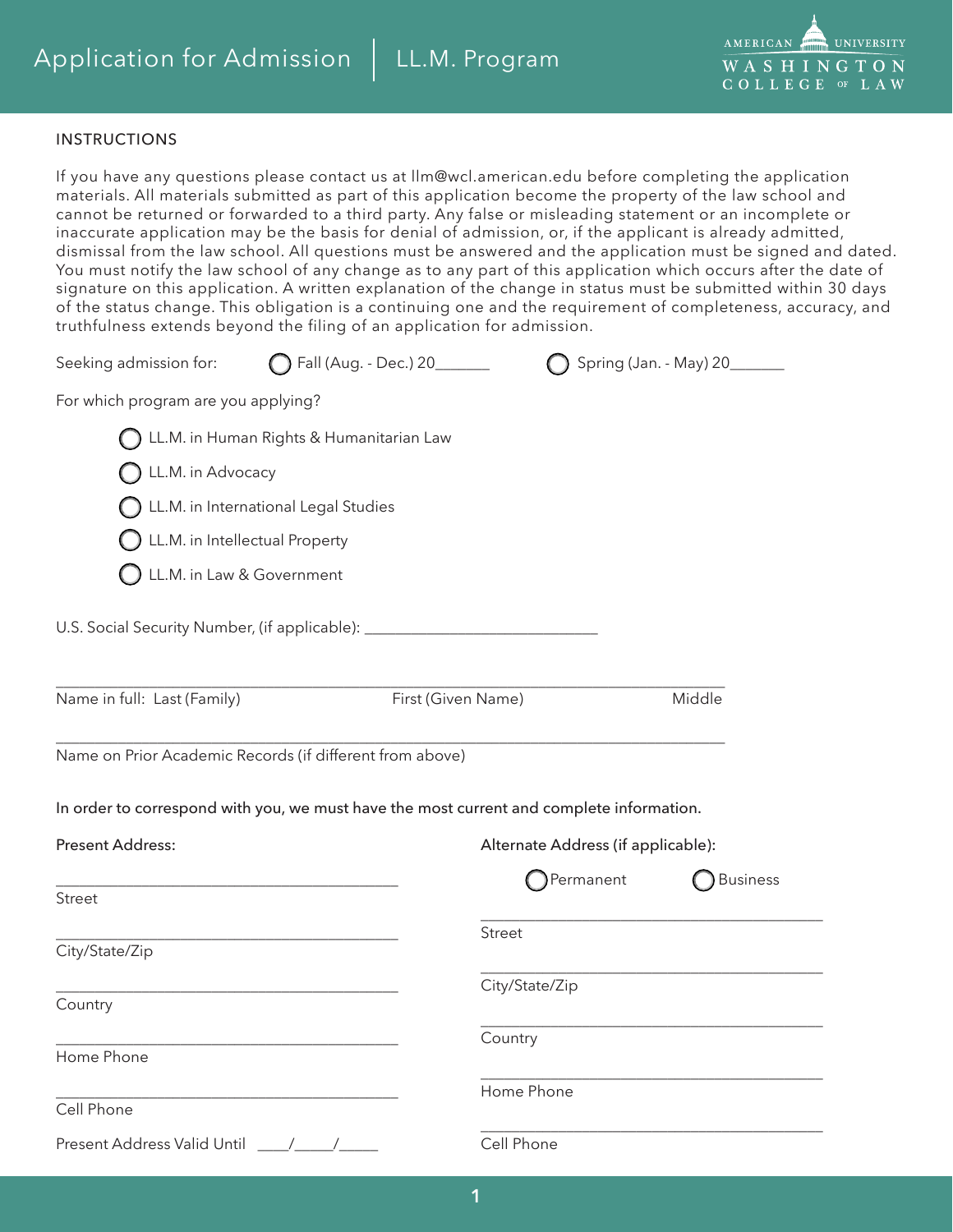

## INSTRUCTIONS

If you have any questions please contact us at llm@wcl.american.edu before completing the application materials. All materials submitted as part of this application become the property of the law school and cannot be returned or forwarded to a third party. Any false or misleading statement or an incomplete or inaccurate application may be the basis for denial of admission, or, if the applicant is already admitted, dismissal from the law school. All questions must be answered and the application must be signed and dated. You must notify the law school of any change as to any part of this application which occurs after the date of signature on this application. A written explanation of the change in status must be submitted within 30 days of the status change. This obligation is a continuing one and the requirement of completeness, accuracy, and truthfulness extends beyond the filing of an application for admission.

| truthfulness extends beyond the filing of an application for admission.                  |                                          |                               |                                    |                               |
|------------------------------------------------------------------------------------------|------------------------------------------|-------------------------------|------------------------------------|-------------------------------|
| Seeking admission for:                                                                   |                                          | ◯ Fall (Aug. - Dec.) 20______ |                                    | Spring (Jan. - May) 20_______ |
| For which program are you applying?                                                      |                                          |                               |                                    |                               |
|                                                                                          | LL.M. in Human Rights & Humanitarian Law |                               |                                    |                               |
| LL.M. in Advocacy                                                                        |                                          |                               |                                    |                               |
|                                                                                          | LL.M. in International Legal Studies     |                               |                                    |                               |
|                                                                                          | LL.M. in Intellectual Property           |                               |                                    |                               |
|                                                                                          | LL.M. in Law & Government                |                               |                                    |                               |
| U.S. Social Security Number, (if applicable): __________________________________         |                                          |                               |                                    |                               |
|                                                                                          |                                          |                               |                                    |                               |
| Name in full: Last (Family)                                                              |                                          | First (Given Name)            |                                    | Middle                        |
| Name on Prior Academic Records (if different from above)                                 |                                          |                               |                                    |                               |
| In order to correspond with you, we must have the most current and complete information. |                                          |                               |                                    |                               |
| <b>Present Address:</b>                                                                  |                                          |                               | Alternate Address (if applicable): |                               |
| <b>Street</b>                                                                            |                                          |                               | Permanent                          | <b>Business</b>               |
| City/State/Zip                                                                           |                                          |                               | Street                             |                               |
|                                                                                          |                                          |                               | City/State/Zip                     |                               |
| Country                                                                                  |                                          |                               |                                    |                               |
| Home Phone                                                                               |                                          |                               | Country                            |                               |
|                                                                                          |                                          |                               | Home Phone                         |                               |
| Cell Phone                                                                               |                                          |                               |                                    |                               |

Present Address Valid Until \_\_\_\_/\_\_\_\_\_/\_\_\_\_\_

Cell Phone

\_\_\_\_\_\_\_\_\_\_\_\_\_\_\_\_\_\_\_\_\_\_\_\_\_\_\_\_\_\_\_\_\_\_\_\_\_\_\_\_\_\_\_\_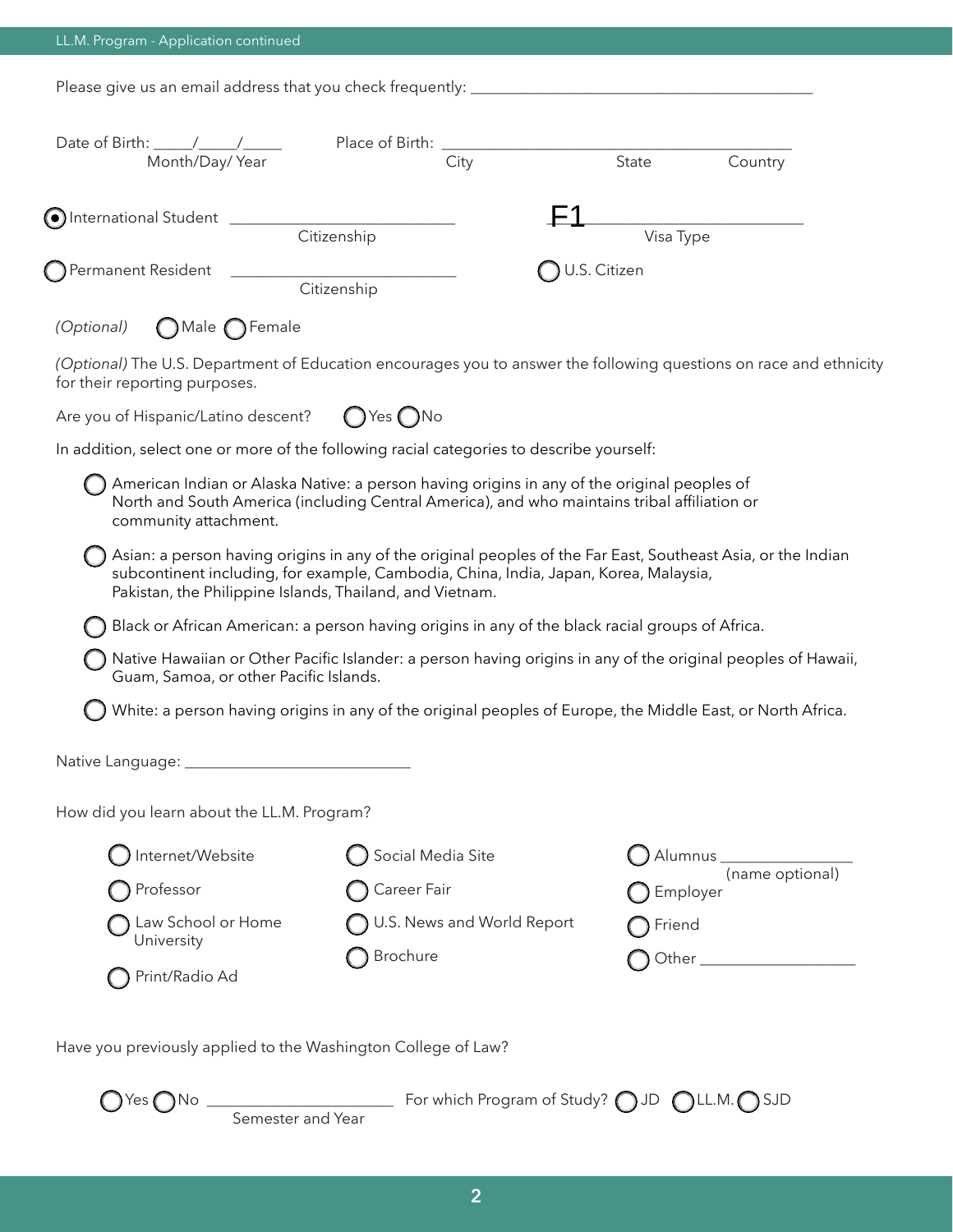|  | LL.M. Program - Application continued |
|--|---------------------------------------|
|  |                                       |

Please give us an email address that you check frequently: \_\_\_\_\_\_\_\_\_\_\_\_\_\_\_\_\_\_\_\_\_\_\_\_\_\_\_\_\_\_\_\_\_\_\_\_\_\_\_\_\_\_\_\_

| Month/Day/Year                                                                                                                                      | City                                                                                                                                                                                                                                                             | State        | Country                     |
|-----------------------------------------------------------------------------------------------------------------------------------------------------|------------------------------------------------------------------------------------------------------------------------------------------------------------------------------------------------------------------------------------------------------------------|--------------|-----------------------------|
|                                                                                                                                                     |                                                                                                                                                                                                                                                                  |              |                             |
|                                                                                                                                                     | Citizenship                                                                                                                                                                                                                                                      | Visa Type    |                             |
|                                                                                                                                                     | Citizenship                                                                                                                                                                                                                                                      | U.S. Citizen |                             |
| $\bigcap$ Male $\bigcap$ Female<br>(Optional)                                                                                                       |                                                                                                                                                                                                                                                                  |              |                             |
| (Optional) The U.S. Department of Education encourages you to answer the following questions on race and ethnicity<br>for their reporting purposes. |                                                                                                                                                                                                                                                                  |              |                             |
| Are you of Hispanic/Latino descent?                                                                                                                 | $\bigcap$ Yes $\bigcap$ No                                                                                                                                                                                                                                       |              |                             |
| In addition, select one or more of the following racial categories to describe yourself:                                                            |                                                                                                                                                                                                                                                                  |              |                             |
| community attachment.                                                                                                                               | American Indian or Alaska Native: a person having origins in any of the original peoples of<br>North and South America (including Central America), and who maintains tribal affiliation or                                                                      |              |                             |
|                                                                                                                                                     | Asian: a person having origins in any of the original peoples of the Far East, Southeast Asia, or the Indian<br>subcontinent including, for example, Cambodia, China, India, Japan, Korea, Malaysia,<br>Pakistan, the Philippine Islands, Thailand, and Vietnam. |              |                             |
|                                                                                                                                                     | Black or African American: a person having origins in any of the black racial groups of Africa.                                                                                                                                                                  |              |                             |
| Guam, Samoa, or other Pacific Islands.                                                                                                              | Native Hawaiian or Other Pacific Islander: a person having origins in any of the original peoples of Hawaii,                                                                                                                                                     |              |                             |
|                                                                                                                                                     | White: a person having origins in any of the original peoples of Europe, the Middle East, or North Africa.                                                                                                                                                       |              |                             |
|                                                                                                                                                     |                                                                                                                                                                                                                                                                  |              |                             |
| How did you learn about the LL.M. Program?                                                                                                          |                                                                                                                                                                                                                                                                  |              |                             |
| Internet/Website                                                                                                                                    | Social Media Site                                                                                                                                                                                                                                                |              | Alumnus ________________    |
| Professor                                                                                                                                           | Career Fair                                                                                                                                                                                                                                                      |              | (name optional)<br>Employer |
| Law School or Home                                                                                                                                  | U.S. News and World Report                                                                                                                                                                                                                                       | Friend       |                             |
| University                                                                                                                                          | Brochure                                                                                                                                                                                                                                                         |              |                             |
|                                                                                                                                                     |                                                                                                                                                                                                                                                                  |              |                             |

 $\bigcirc$  Yes  $\bigcap$  No  $\bigcup_{i=1}^n$  Mo  $\bigcup_{i=1}^n$   $\bigcirc$  For which Program of Study?  $\bigcirc$  JD  $\bigcirc$  LL.M.  $\bigcirc$  SJD Semester and Year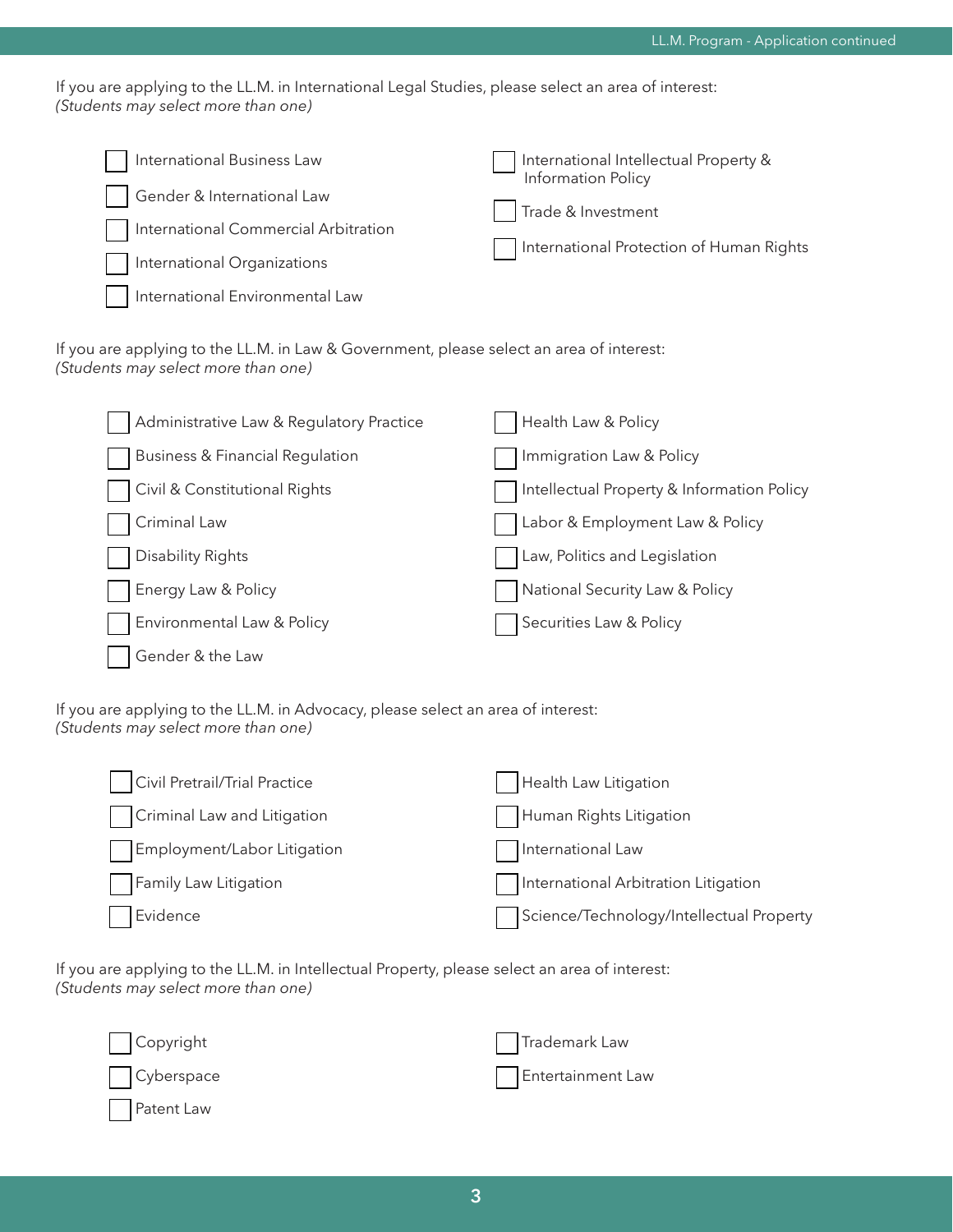If you are applying to the LL.M. in International Legal Studies, please select an area of interest: *(Students may select more than one)*

| International Business Law           | International Intellectual Property &<br>Information Policy |
|--------------------------------------|-------------------------------------------------------------|
| Gender & International Law           |                                                             |
| International Commercial Arbitration | Trade & Investment                                          |
| International Organizations          | International Protection of Human Rights                    |
| International Environmental Law      |                                                             |

If you are applying to the LL.M. in Law & Government, please select an area of interest: *(Students may select more than one)*

| Administrative Law & Regulatory Practice   | Health Law & Policy                        |
|--------------------------------------------|--------------------------------------------|
| <b>Business &amp; Financial Regulation</b> | Immigration Law & Policy                   |
| Civil & Constitutional Rights              | Intellectual Property & Information Policy |
| Criminal Law                               | Labor & Employment Law & Policy            |
| <b>Disability Rights</b>                   | Law, Politics and Legislation              |
| Energy Law & Policy                        | National Security Law & Policy             |
| Environmental Law & Policy                 | Securities Law & Policy                    |
| Gender & the Law                           |                                            |

If you are applying to the LL.M. in Advocacy, please select an area of interest: *(Students may select more than one)*

| Civil Pretrail/Trial Practice | Health Law Litigation                    |
|-------------------------------|------------------------------------------|
| Criminal Law and Litigation   | Human Rights Litigation                  |
| Employment/Labor Litigation   | International Law                        |
| Family Law Litigation         | International Arbitration Litigation     |
| Evidence                      | Science/Technology/Intellectual Property |

If you are applying to the LL.M. in Intellectual Property, please select an area of interest: *(Students may select more than one)*

| Copyright  | Trademark Law     |
|------------|-------------------|
| Cyberspace | Entertainment Law |
| Patent Law |                   |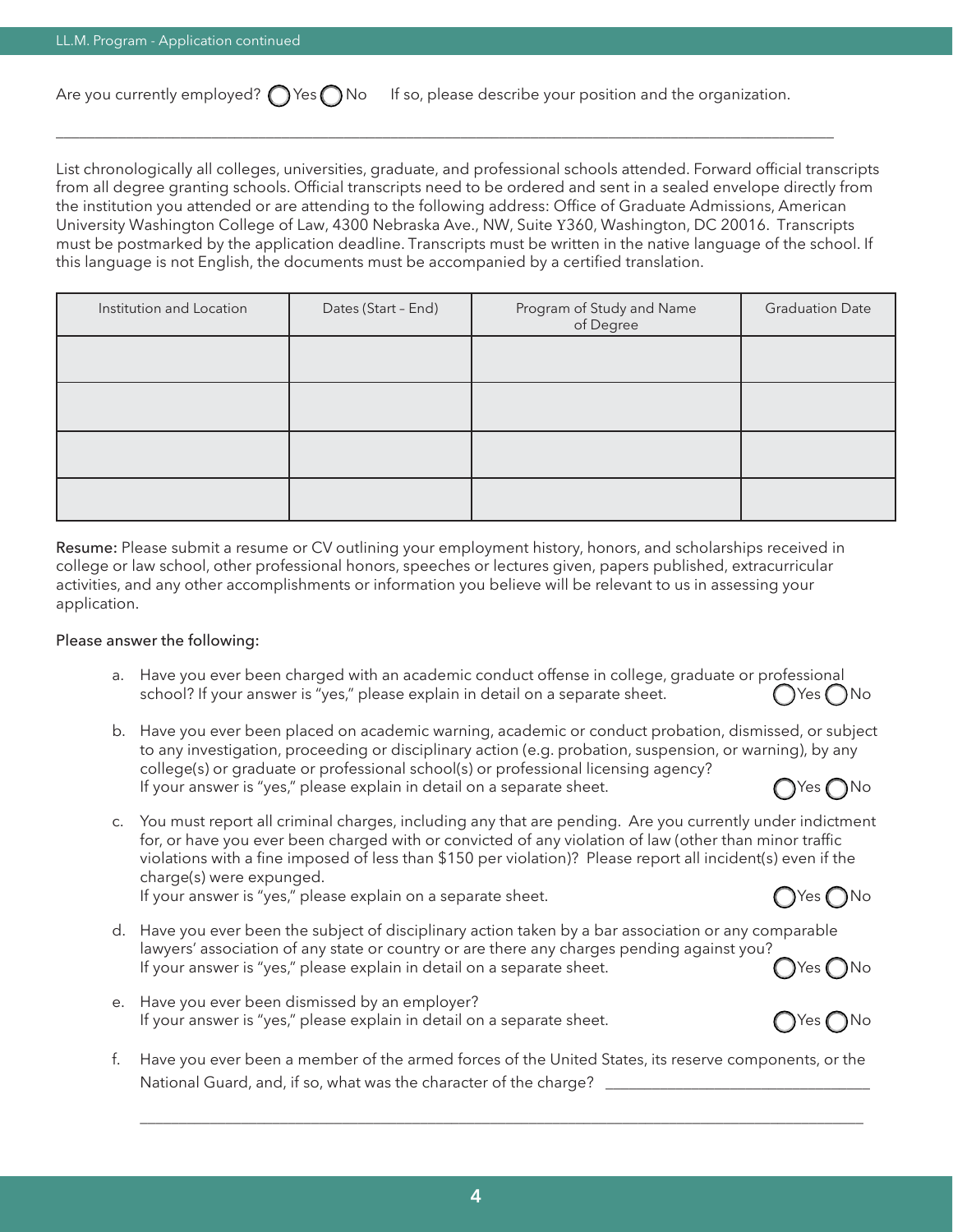Are you currently employed?  $\bigcap$  Yes  $\bigcap$  No If so, please describe your position and the organization.

\_\_\_\_\_\_\_\_\_\_\_\_\_\_\_\_\_\_\_\_\_\_\_\_\_\_\_\_\_\_\_\_\_\_\_\_\_\_\_\_\_\_\_\_\_\_\_\_\_\_\_\_\_\_\_\_\_\_\_\_\_\_\_\_\_\_\_\_\_\_\_\_\_\_\_\_\_\_\_\_\_\_\_\_\_\_\_\_\_\_\_\_\_\_\_\_\_\_\_\_

List chronologically all colleges, universities, graduate, and professional schools attended. Forward official transcripts from all degree granting schools. Official transcripts need to be ordered and sent in a sealed envelope directly from the institution you attended or are attending to the following address: Office of Graduate Admissions, American University Washington College of Law, 4300 Nebraska Ave., NW, Suite Y360, Washington, DC 20016. Transcripts must be postmarked by the application deadline. Transcripts must be written in the native language of the school. If this language is not English, the documents must be accompanied by a certified translation.

| Institution and Location | Dates (Start - End) | Program of Study and Name<br>of Degree | <b>Graduation Date</b> |
|--------------------------|---------------------|----------------------------------------|------------------------|
|                          |                     |                                        |                        |
|                          |                     |                                        |                        |
|                          |                     |                                        |                        |
|                          |                     |                                        |                        |

Resume: Please submit a resume or CV outlining your employment history, honors, and scholarships received in college or law school, other professional honors, speeches or lectures given, papers published, extracurricular activities, and any other accomplishments or information you believe will be relevant to us in assessing your application.

### Please answer the following:

- a. Have you ever been charged with an academic conduct offense in college, graduate or professional school? If your answer is "yes," please explain in detail on a separate sheet.  $\bigcap$  Yes  $\bigcap$  No
- b. Have you ever been placed on academic warning, academic or conduct probation, dismissed, or subject to any investigation, proceeding or disciplinary action (e.g. probation, suspension, or warning), by any college(s) or graduate or professional school(s) or professional licensing agency? If your answer is "yes," please explain in detail on a separate sheet.  $\bigcap$  Yes  $\bigcap$  Yes  $\bigcap$  No
- c. You must report all criminal charges, including any that are pending. Are you currently under indictment for, or have you ever been charged with or convicted of any violation of law (other than minor traffic violations with a fine imposed of less than \$150 per violation)? Please report all incident(s) even if the charge(s) were expunged.

If your answer is "yes," please explain on a separate sheet.  $\bigcap$  Yes  $\bigcap$  Yes  $\bigcap$  No

- d. Have you ever been the subject of disciplinary action taken by a bar association or any comparable lawyers' association of any state or country or are there any charges pending against you? If your answer is "yes," please explain in detail on a separate sheet.  $\bigcirc$  Yes  $\bigcirc$  Yes  $\bigcirc$  No
- e. Have you ever been dismissed by an employer? If your answer is "yes," please explain in detail on a separate sheet.  $\bigcap$  Yes  $\bigcap$  No
- f. Have you ever been a member of the armed forces of the United States, its reserve components, or the National Guard, and, if so, what was the character of the charge? \_

\_\_\_\_\_\_\_\_\_\_\_\_\_\_\_\_\_\_\_\_\_\_\_\_\_\_\_\_\_\_\_\_\_\_\_\_\_\_\_\_\_\_\_\_\_\_\_\_\_\_\_\_\_\_\_\_\_\_\_\_\_\_\_\_\_\_\_\_\_\_\_\_\_\_\_\_\_\_\_\_\_\_\_\_\_\_\_\_\_\_\_\_\_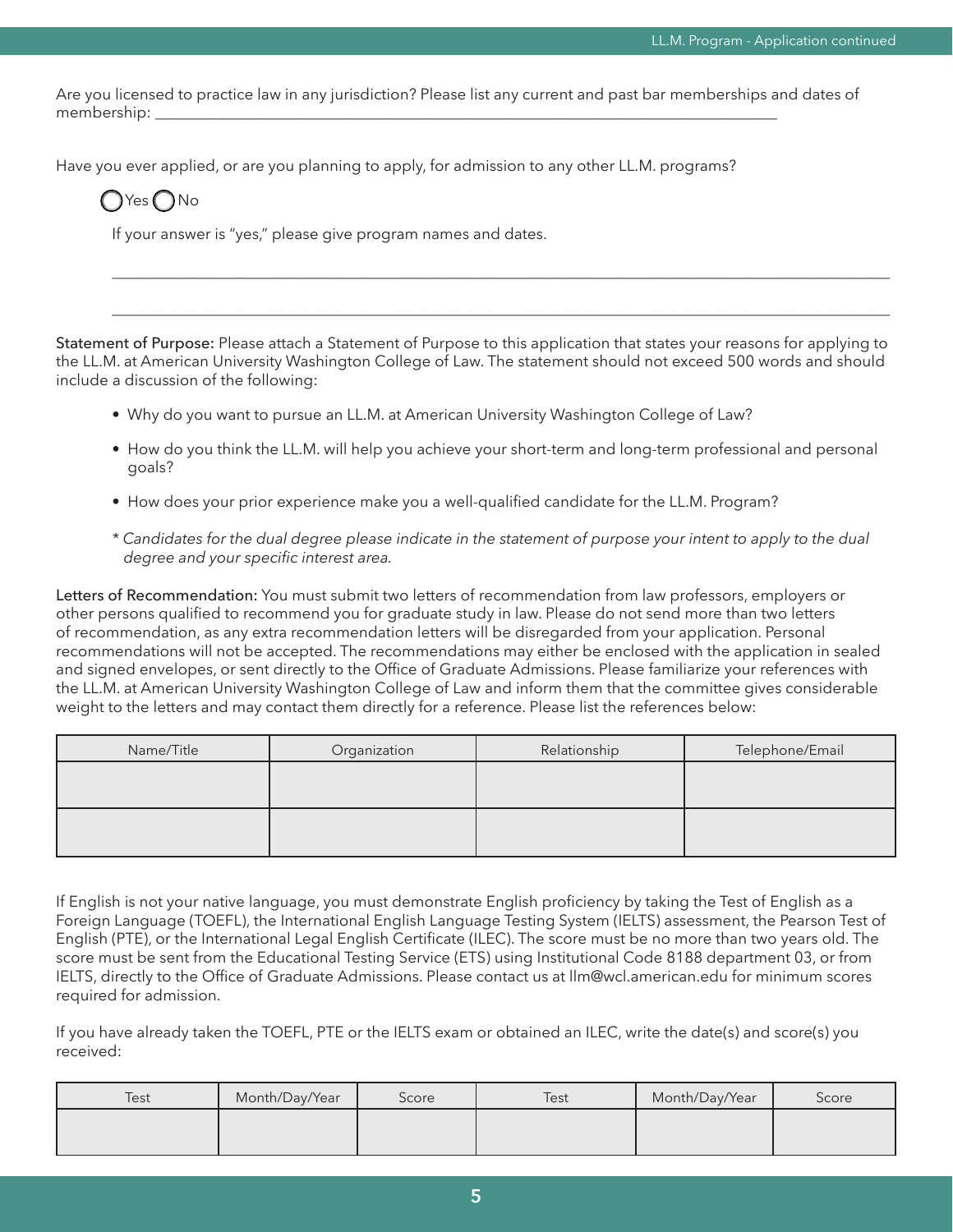Are you licensed to practice law in any jurisdiction? Please list any current and past bar memberships and dates of membership:

Have you ever applied, or are you planning to apply, for admission to any other LL.M. programs?

 $Yes \bigcap$ No

If your answer is "yes," please give program names and dates.

Statement of Purpose: Please attach a Statement of Purpose to this application that states your reasons for applying to the LL.M. at American University Washington College of Law. The statement should not exceed 500 words and should include a discussion of the following:

- Why do you want to pursue an LL.M. at American University Washington College of Law?
- How do you think the LL.M. will help you achieve your short-term and long-term professional and personal goals?

\_\_\_\_\_\_\_\_\_\_\_\_\_\_\_\_\_\_\_\_\_\_\_\_\_\_\_\_\_\_\_\_\_\_\_\_\_\_\_\_\_\_\_\_\_\_\_\_\_\_\_\_\_\_\_\_\_\_\_\_\_\_\_\_\_\_\_\_\_\_\_\_\_\_\_\_\_\_\_\_\_\_\_\_\_\_\_\_\_\_\_\_\_\_\_\_\_\_\_\_

\_\_\_\_\_\_\_\_\_\_\_\_\_\_\_\_\_\_\_\_\_\_\_\_\_\_\_\_\_\_\_\_\_\_\_\_\_\_\_\_\_\_\_\_\_\_\_\_\_\_\_\_\_\_\_\_\_\_\_\_\_\_\_\_\_\_\_\_\_\_\_\_\_\_\_\_\_\_\_\_\_\_\_\_\_\_\_\_\_\_\_\_\_\_\_\_\_\_\_\_

- How does your prior experience make you a well-qualified candidate for the LL.M. Program?
- *\* Candidates for the dual degree please indicate in the statement of purpose your intent to apply to the dual degree and your specific interest area.*

Letters of Recommendation: You must submit two letters of recommendation from law professors, employers or other persons qualified to recommend you for graduate study in law. Please do not send more than two letters of recommendation, as any extra recommendation letters will be disregarded from your application. Personal recommendations will not be accepted. The recommendations may either be enclosed with the application in sealed and signed envelopes, or sent directly to the Office of Graduate Admissions. Please familiarize your references with the LL.M. at American University Washington College of Law and inform them that the committee gives considerable weight to the letters and may contact them directly for a reference. Please list the references below:

| Name/Title | Organization | Relationship | Telephone/Email |
|------------|--------------|--------------|-----------------|
|            |              |              |                 |
|            |              |              |                 |
|            |              |              |                 |
|            |              |              |                 |

If English is not your native language, you must demonstrate English proficiency by taking the Test of English as a Foreign Language (TOEFL), the International English Language Testing System (IELTS) assessment, the Pearson Test of English (PTE), or the International Legal English Certificate (ILEC). The score must be no more than two years old. The score must be sent from the Educational Testing Service (ETS) using Institutional Code 8188 department 03, or from IELTS, directly to the Office of Graduate Admissions. Please contact us at llm@wcl.american.edu for minimum scores required for admission.

If you have already taken the TOEFL, PTE or the IELTS exam or obtained an ILEC, write the date(s) and score(s) you received:

| Test | Month/Day/Year | Score | Test | Month/Day/Year | Score |
|------|----------------|-------|------|----------------|-------|
|      |                |       |      |                |       |